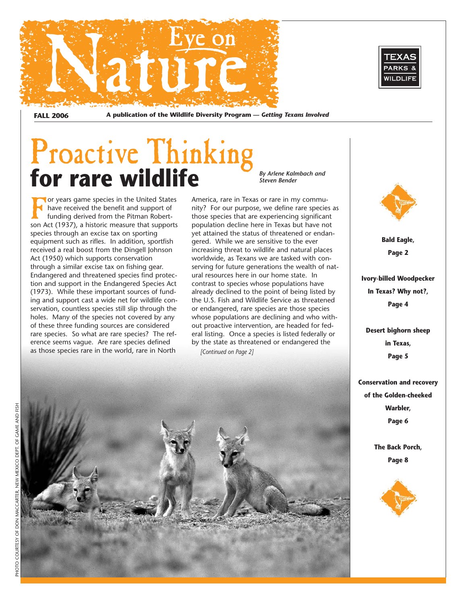

**FALL 2006 A publication of the Wildlife Diversity Program —** *Getting Texans Involved*

## Proactive Thinking for rare wildlife *By Arlene Kalmbach and*

**For years game species in the United States** have received the benefit and support of funding derived from the Pitman Robertson Act (1937), a historic measure that supports species through an excise tax on sporting equipment such as rifles. In addition, sportfish received a real boost from the Dingell Johnson Act (1950) which supports conservation through a similar excise tax on fishing gear. Endangered and threatened species find protection and support in the Endangered Species Act (1973). While these important sources of funding and support cast a wide net for wildlife conservation, countless species still slip through the holes. Many of the species not covered by any of these three funding sources are considered rare species. So what are rare species? The reference seems vague. Are rare species defined as those species rare in the world, rare in North

America, rare in Texas or rare in my community? For our purpose, we define rare species as those species that are experiencing significant population decline here in Texas but have not yet attained the status of threatened or endangered. While we are sensitive to the ever increasing threat to wildlife and natural places worldwide, as Texans we are tasked with conserving for future generations the wealth of natural resources here in our home state. In contrast to species whose populations have already declined to the point of being listed by the U.S. Fish and Wildlife Service as threatened or endangered, rare species are those species whose populations are declining and who without proactive intervention, are headed for federal listing. Once a species is listed federally or by the state as threatened or endangered the *[Continued on Page 2]*

*Steven Bender*





**Bald Eagle, Page 2**

**Ivory-billed Woodpecker In Texas? Why not?, Page 4**

**Desert bighorn sheep in Texas, Page 5**

**Conservation and recovery of the Golden-cheeked Warbler, Page 6**

> **The Back Porch, Page 8**

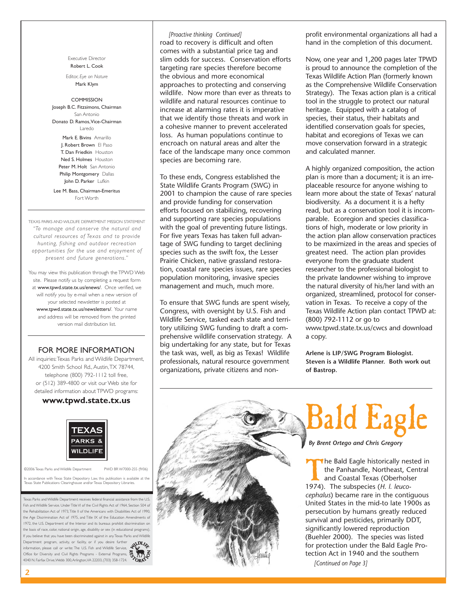Executive Director Robert L. Cook

Editor, *Eye on Nature* Mark Klym

#### COMMISSION

Joseph B.C. Fitzsimons, Chairman San Antonio Donato D. Ramos,Vice-Chairman Laredo Mark E. Bivins Amarillo J. Robert Brown El Paso T. Dan Friedkin Houston Ned S. Holmes Houston Peter M. Holt San Antonio Philip Montgomery Dallas John D. Parker Lufkin

Lee M. Bass, Chairman-Emeritus Fort Worth

TEXAS PARKS AND WILDLIFE DEPARTMENT MISSION STATEMENT *"To manage and conser ve the natural and cultural resources of Texas and to provide hunting, fishing and outdoor recreation opportunities for the use and enjoyment of present and future generations."*

You may view this publication through the TPWD Web site. Please notify us by completing a request form at www.tpwd.state.tx.us/enews/. Once verified, we will notify you by e-mail when a new version of your selected newsletter is posted at www.tpwd.state.tx.us/newsletters/. Your name and address will be removed from the printed version mail distribution list.

### FOR MORE INFORMATION

All inquiries: Texas Parks and Wildlife Department, 4200 Smith School Rd., Austin,TX 78744, telephone (800) 792-1112 toll free, or (512) 389-4800 or visit our Web site for detailed information about TPWD programs:

### **www.tpwd.state.tx.us**



©2006 Texas Parks and Wildlife Department PWD BR W7000-255 (9/06)

In accordance with Texas State Depository Law, this publication is available at Texas State Publications Clearinghouse and/or Texas Depository Libraries.

Texas Parks and Wildlife Department receives federal financial assistance from the U.S. Fish and Wildlife Service. Under Title VI of the Civil Rights Act of 1964, Section 504 of the Rehabilitation Act of 1973,Title II of the Americans with Disabilities Act of 1990, the Age Discrimination Act of 1975, and Title IX of the Education Amendments of 1972, the U.S. Department of the Interior and its bureaus prohibit discrimination on the basis of race, color, national origin, age, disability or sex (in educational programs). If you believe that you have been discriminated against in any Texas Parks and Wildlife Department program, activity, or facility, or if you desire further information, please call or write: The U.S. Fish and Wildlife Service, Office for Diversity and Civil Rights Programs - External Programs, information, please call or write: The U.S. Fish and Wildlife Service,  $\mathbf{A}$  Web<br>Office for Diversity and Civil Rights Programs - External Programs,  $\mathbf{A}$ <br>4040 N. Fairfax Drive, Webb 300, Arlington, VA 22203, (703) 3



*[Proactive thinking Continued]* road to recovery is difficult and often comes with a substantial price tag and slim odds for success. Conservation efforts targeting rare species therefore become the obvious and more economical approaches to protecting and conserving wildlife. Now more than ever as threats to wildlife and natural resources continue to increase at alarming rates it is imperative that we identify those threats and work in a cohesive manner to prevent accelerated loss. As human populations continue to encroach on natural areas and alter the face of the landscape many once common species are becoming rare.

To these ends, Congress established the State Wildlife Grants Program (SWG) in 2001 to champion the cause of rare species and provide funding for conservation efforts focused on stabilizing, recovering and supporting rare species populations with the goal of preventing future listings. For five years Texas has taken full advantage of SWG funding to target declining species such as the swift fox, the Lesser Prairie Chicken, native grassland restoration, coastal rare species issues, rare species population monitoring, invasive species management and much, much more.

To ensure that SWG funds are spent wisely, Congress, with oversight by U.S. Fish and Wildlife Service, tasked each state and territory utilizing SWG funding to draft a comprehensive wildlife conservation strategy. A big undertaking for any state, but for Texas the task was, well, as big as Texas! Wildlife professionals, natural resource government organizations, private citizens and nonprofit environmental organizations all had a hand in the completion of this document.

Now, one year and 1,200 pages later TPWD is proud to announce the completion of the Texas Wildlife Action Plan (formerly known as the Comprehensive Wildlife Conservation Strategy). The Texas action plan is a critical tool in the struggle to protect our natural heritage. Equipped with a catalog of species, their status, their habitats and identified conservation goals for species, habitat and ecoregions of Texas we can move conservation forward in a strategic and calculated manner.

A highly organized composition, the action plan is more than a document; it is an irreplaceable resource for anyone wishing to learn more about the state of Texas' natural biodiversity. As a document it is a hefty read, but as a conservation tool it is incomparable. Ecoregion and species classifications of high, moderate or low priority in the action plan allow conservation practices to be maximized in the areas and species of greatest need. The action plan provides everyone from the graduate student researcher to the professional biologist to the private landowner wishing to improve the natural diversity of his/her land with an organized, streamlined, protocol for conservation in Texas. To receive a copy of the Texas Wildlife Action plan contact TPWD at: (800) 792-1112 or go to www.tpwd.state.tx.us/cwcs and download a copy.

**Arlene is LIP/SWG Program Biologist. Steven is a Wildlife Planner. Both work out of Bastrop.**



# Bald Eagle

*By Brent Ortego and Chris Gregory*

The Bald Eagle historically nested in<br>the Panhandle, Northeast, Central<br>and Coastal Texas (Oberholser<br>1974) The subspecies (H | leucothe Panhandle, Northeast, Central and Coastal Texas (Oberholser 1974). The subspecies (*H. l. leucocephalus*) became rare in the contiguous United States in the mid-to late 1900s as persecution by humans greatly reduced survival and pesticides, primarily DDT, significantly lowered reproduction (Buehler 2000). The species was listed for protection under the Bald Eagle Protection Act in 1940 and the southern

*[Continued on Page 3]*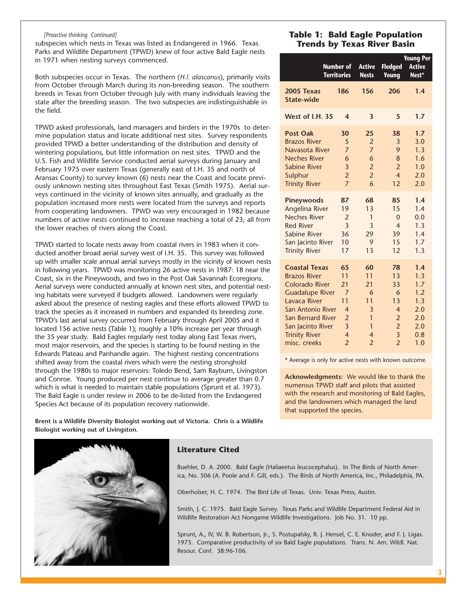#### *[Proactive thinking Continued]*

subspecies which nests in Texas was listed as Endangered in 1966. Texas Parks and Wildlife Department (TPWD) knew of four active Bald Eagle nests in 1971 when nesting surveys commenced.

Both subspecies occur in Texas. The northern (*H.l. alascanus*), primarily visits from October through March during its non-breeding season. The southern breeds in Texas from October through July with many individuals leaving the state after the breeding season. The two subspecies are indistinguishable in the field.

TPWD asked professionals, land managers and birders in the 1970s to determine population status and locate additional nest sites. Survey respondents provided TPWD a better understanding of the distribution and density of wintering populations, but little information on nest sites. TPWD and the U.S. Fish and Wildlife Service conducted aerial surveys during January and February 1975 over eastern Texas (generally east of I.H. 35 and north of Aransas County) to survey known (6) nests near the Coast and locate previously unknown nesting sites throughout East Texas (Smith 1975). Aerial surveys continued in the vicinity of known sites annually, and gradually as the population increased more nests were located from the surveys and reports from cooperating landowners. TPWD was very encouraged in 1982 because numbers of active nests continued to increase reaching a total of 23; all from the lower reaches of rivers along the Coast.

TPWD started to locate nests away from coastal rivers in 1983 when it conducted another broad aerial survey west of I.H. 35. This survey was followed up with smaller scale annual aerial surveys mostly in the vicinity of known nests in following years. TPWD was monitoring 26 active nests in 1987: 18 near the Coast, six in the Pineywoods, and two in the Post Oak Savannah Ecoregions. Aerial surveys were conducted annually at known nest sites, and potential nesting habitats were surveyed if budgets allowed. Landowners were regularly asked about the presence of nesting eagles and these efforts allowed TPWD to track the species as it increased in numbers and expanded its breeding zone. TPWD's last aerial survey occurred from February through April 2005 and it located 156 active nests (Table 1); roughly a 10% increase per year through the 35 year study. Bald Eagles regularly nest today along East Texas rivers, most major reservoirs, and the species is starting to be found nesting in the Edwards Plateau and Panhandle again. The highest nesting concentrations shifted away from the coastal rivers which were the nesting stronghold through the 1980s to major reservoirs: Toledo Bend, Sam Rayburn, Livingston and Conroe. Young produced per nest continue to average greater than 0.7 which is what is needed to maintain stable populations (Sprunt et al. 1973). The Bald Eagle is under review in 2006 to be de-listed from the Endangered Species Act because of its population recovery nationwide.

## **Table 1: Bald Eagle Population Trends by Texas River Basin**

| <b>Number of</b><br><b>Territories</b> |                          | <b>Active</b><br><b>Nests</b> | <b>Fledged</b><br>Young | <b>Young Per</b><br><b>Active</b><br>Nest* |
|----------------------------------------|--------------------------|-------------------------------|-------------------------|--------------------------------------------|
| 2005 Texas<br><b>State-wide</b>        | 186                      | 156                           | 206                     | 1.4                                        |
| West of I.H. 35                        | 4                        | 3                             | 5                       | 1.7                                        |
| <b>Post Oak</b>                        | 30                       | 25                            | 38                      | 1.7                                        |
| <b>Brazos River</b>                    | 5                        | $\overline{2}$                | 3                       | 3.0                                        |
| Navasota River                         | $\overline{7}$           | $\overline{7}$                | 9                       | 1.3                                        |
| <b>Neches River</b>                    | 6                        | 6                             | 8                       | 1.6                                        |
| <b>Sabine River</b>                    | $\overline{\mathbf{3}}$  | $\overline{2}$                | $\overline{2}$          | 1.0                                        |
| Sulphur                                | $\overline{2}$           | $\overline{2}$                | $\overline{\mathbf{4}}$ | 2.0                                        |
| <b>Trinity River</b>                   | $\overline{7}$           | 6                             | 12                      | 2.0                                        |
| Pineywoods                             | 87                       | 68                            | 85                      | 1.4                                        |
| <b>Angelina River</b>                  | 19                       | 13                            | 15                      | 1.4                                        |
| <b>Neches River</b>                    | $\overline{2}$           | 1                             | $\Omega$                | 0.0                                        |
| <b>Red River</b>                       | 3                        | 3                             | $\overline{4}$          | 1.3                                        |
| Sabine River                           | 36                       | 29                            | 39                      | 1.4                                        |
| San Jacinto River                      | 10                       | 9                             | 15                      | 1.7                                        |
| <b>Trinity River</b>                   | 17                       | 13                            | 12                      | 1.3                                        |
| <b>Coastal Texas</b>                   | 65                       | 60                            | 78                      | 1.4                                        |
| <b>Brazos River</b>                    | 11                       | 11                            | 13                      | 1.3                                        |
| <b>Colorado River</b>                  | 21                       | 21                            | 33                      | 1.7                                        |
| <b>Guadalupe River</b>                 | $\overline{7}$           | 6                             | 6                       | 1.2                                        |
| Lavaca River                           | 11                       | 11                            | 13                      | 1.3                                        |
| San Antonio River                      | $\overline{\mathcal{A}}$ | 3                             | $\overline{4}$          | 2.0                                        |
| <b>San Bernard River</b>               | $\overline{2}$           | $\mathbf{1}$                  | $\overline{2}$          | 2.0                                        |
| San Jacinto River                      | $\overline{3}$           | 1                             | $\overline{2}$          | 2.0                                        |
| <b>Trinity River</b>                   | $\overline{\mathbf{4}}$  | $\overline{4}$                | $\overline{\mathbf{3}}$ | 0.8                                        |
| misc. creeks                           | $\overline{2}$           | $\overline{2}$                | $\overline{2}$          | 1.0                                        |

\* Average is only for active nests with known outcome.

**Acknowledgments:** We would like to thank the numerous TPWD staff and pilots that assisted with the research and monitoring of Bald Eagles, and the landowners which managed the land that supported the species.

**Brent is a Wildlife Diversity Biologist working out of Victoria. Chris is a Wildlife Biologist working out of Livingston.**



## **Literature Cited**

Buehler, D. A. 2000. Bald Eagle (Haliaeetus leucocephalus). In The Birds of North America, No. 506 (A. Poole and F. Gill, eds.). The Birds of North America, Inc., Philadelphia, PA.

Oberholser, H. C. 1974. The Bird Life of Texas. Univ. Texas Press, Austin.

Smith, J. C. 1975. Bald Eagle Survey. Texas Parks and Wildlife Department Federal Aid in Wildlife Restoration Act Nongame Wildlife Investigations. Job No. 31. 10 pp.

Sprunt, A., IV, W. B. Robertson, Jr., S. Postupalsky, R. J. Hensel, C. E. Knoder, and F. J. Ligas. 1973. Comparative productivity of six Bald Eagle populations. Trans. N. Am. Wildl. Nat. Resour. Conf. 38:96-106.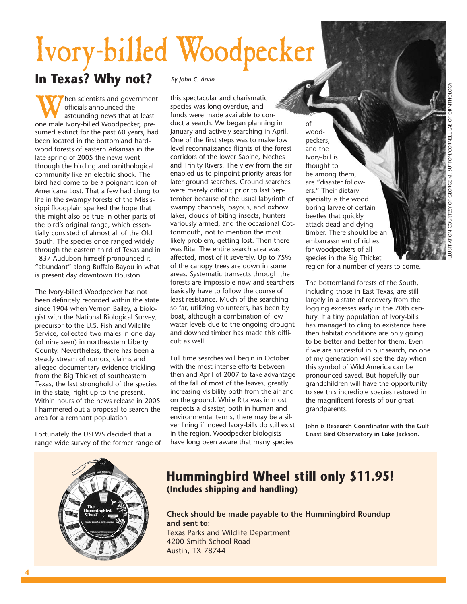# Ivory-billed Woodpecker

## **In Texas? Why not?**

When scientists and government<br>
officials announced the<br>
astounding news that at least<br>
one male Ivory-billed Woodpecker, preofficials announced the astounding news that at least sumed extinct for the past 60 years, had been located in the bottomland hardwood forests of eastern Arkansas in the late spring of 2005 the news went through the birding and ornithological community like an electric shock. The bird had come to be a poignant icon of Americana Lost. That a few had clung to life in the swampy forests of the Mississippi floodplain sparked the hope that this might also be true in other parts of the bird's original range, which essentially consisted of almost all of the Old South. The species once ranged widely through the eastern third of Texas and in 1837 Audubon himself pronounced it "abundant" along Buffalo Bayou in what is present day downtown Houston.

The Ivory-billed Woodpecker has not been definitely recorded within the state since 1904 when Vernon Bailey, a biologist with the National Biological Survey, precursor to the U.S. Fish and Wildlife Service, collected two males in one day (of nine seen) in northeastern Liberty County. Nevertheless, there has been a steady stream of rumors, claims and alleged documentary evidence trickling from the Big Thicket of southeastern Texas, the last stronghold of the species in the state, right up to the present. Within hours of the news release in 2005 I hammered out a proposal to search the area for a remnant population.

Fortunately the USFWS decided that a range wide survey of the former range of

### *By John C. Arvin*

this spectacular and charismatic species was long overdue, and funds were made available to conduct a search. We began planning in January and actively searching in April. One of the first steps was to make low level reconnaissance flights of the forest corridors of the lower Sabine, Neches and Trinity Rivers. The view from the air enabled us to pinpoint priority areas for later ground searches. Ground searches were merely difficult prior to last September because of the usual labyrinth of swampy channels, bayous, and oxbow lakes, clouds of biting insects, hunters variously armed, and the occasional Cottonmouth, not to mention the most likely problem, getting lost. Then there was Rita. The entire search area was affected, most of it severely. Up to 75% of the canopy trees are down in some areas. Systematic transects through the forests are impossible now and searchers basically have to follow the course of least resistance. Much of the searching so far, utilizing volunteers, has been by boat, although a combination of low water levels due to the ongoing drought and downed timber has made this difficult as well.

Full time searches will begin in October with the most intense efforts between then and April of 2007 to take advantage of the fall of most of the leaves, greatly increasing visibility both from the air and on the ground. While Rita was in most respects a disaster, both in human and environmental terms, there may be a silver lining if indeed Ivory-bills do still exist in the region. Woodpecker biologists have long been aware that many species

of woodpeckers, and the Ivory-bill is thought to be among them, are "disaster followers." Their dietary specialty is the wood boring larvae of certain beetles that quickly attack dead and dying timber. There should be an embarrassment of riches for woodpeckers of all species in the Big Thicket

region for a number of years to come.

The bottomland forests of the South, including those in East Texas, are still largely in a state of recovery from the logging excesses early in the 20th century. If a tiny population of Ivory-bills has managed to cling to existence here then habitat conditions are only going to be better and better for them. Even if we are successful in our search, no one of my generation will see the day when this symbol of Wild America can be pronounced saved. But hopefully our grandchildren will have the opportunity to see this incredible species restored in the magnificent forests of our great grandparents.

**John is Research Coordinator with the Gulf Coast Bird Observatory in Lake Jackson.**



## **Hummingbird Wheel still only \$11.95! (Includes shipping and handling)**

**Check should be made payable to the Hummingbird Roundup and sent to:** Texas Parks and Wildlife Department 4200 Smith School Road Austin, TX 78744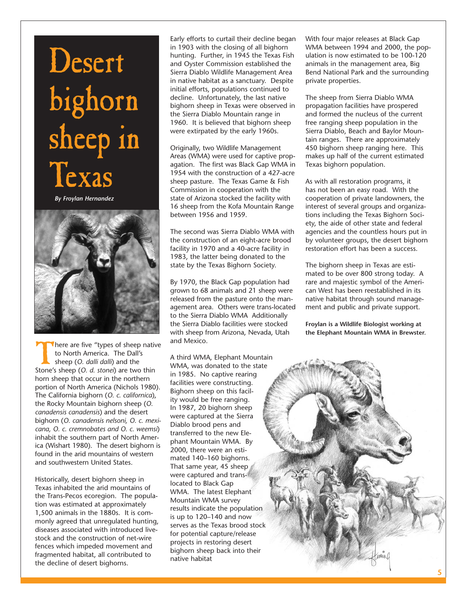# Desert bighorn sheep in Texas

*By Froylan Hernandez*



There are five "types of sheep native to North America. The Dall's sheep (*O. dalli dalli*) and the Stone's sheep (*O. d. stonei*) are two thin horn sheep that occur in the northern portion of North America (Nichols 1980). The California bighorn (*O. c. californica*), the Rocky Mountain bighorn sheep (*O. canadensis canadensis*) and the desert bighorn (*O. canadensis nelsoni, O. c. mexicana, O. c. cremnobates and O. c. weemsi*) inhabit the southern part of North America (Wishart 1980). The desert bighorn is found in the arid mountains of western and southwestern United States.

Historically, desert bighorn sheep in Texas inhabited the arid mountains of the Trans-Pecos ecoregion. The population was estimated at approximately 1,500 animals in the 1880s. It is commonly agreed that unregulated hunting, diseases associated with introduced livestock and the construction of net-wire fences which impeded movement and fragmented habitat, all contributed to the decline of desert bighorns.

Early efforts to curtail their decline began in 1903 with the closing of all bighorn hunting. Further, in 1945 the Texas Fish and Oyster Commission established the Sierra Diablo Wildlife Management Area in native habitat as a sanctuary. Despite initial efforts, populations continued to decline. Unfortunately, the last native bighorn sheep in Texas were observed in the Sierra Diablo Mountain range in 1960. It is believed that bighorn sheep were extirpated by the early 1960s.

Originally, two Wildlife Management Areas (WMA) were used for captive propagation. The first was Black Gap WMA in 1954 with the construction of a 427-acre sheep pasture. The Texas Game & Fish Commission in cooperation with the state of Arizona stocked the facility with 16 sheep from the Kofa Mountain Range between 1956 and 1959.

The second was Sierra Diablo WMA with the construction of an eight-acre brood facility in 1970 and a 40-acre facility in 1983, the latter being donated to the state by the Texas Bighorn Society.

By 1970, the Black Gap population had grown to 68 animals and 21 sheep were released from the pasture onto the management area. Others were trans-located to the Sierra Diablo WMA Additionally the Sierra Diablo facilities were stocked with sheep from Arizona, Nevada, Utah and Mexico.

A third WMA, Elephant Mountain WMA, was donated to the state in 1985. No captive rearing facilities were constructing. Bighorn sheep on this facility would be free ranging. In 1987, 20 bighorn sheep were captured at the Sierra Diablo brood pens and transferred to the new Elephant Mountain WMA. By 2000, there were an estimated 140–160 bighorns. That same year, 45 sheep were captured and translocated to Black Gap WMA. The latest Elephant Mountain WMA survey results indicate the population is up to 120–140 and now serves as the Texas brood stock for potential capture/release projects in restoring desert bighorn sheep back into their native habitat

With four major releases at Black Gap WMA between 1994 and 2000, the population is now estimated to be 100-120 animals in the management area, Big Bend National Park and the surrounding private properties.

The sheep from Sierra Diablo WMA propagation facilities have prospered and formed the nucleus of the current free ranging sheep population in the Sierra Diablo, Beach and Baylor Mountain ranges. There are approximately 450 bighorn sheep ranging here. This makes up half of the current estimated Texas bighorn population.

As with all restoration programs, it has not been an easy road. With the cooperation of private landowners, the interest of several groups and organizations including the Texas Bighorn Society, the aide of other state and federal agencies and the countless hours put in by volunteer groups, the desert bighorn restoration effort has been a success.

The bighorn sheep in Texas are estimated to be over 800 strong today. A rare and majestic symbol of the American West has been reestablished in its native habitat through sound management and public and private support.

**Froylan is a Wildlife Biologist working at the Elephant Mountain WMA in Brewster.**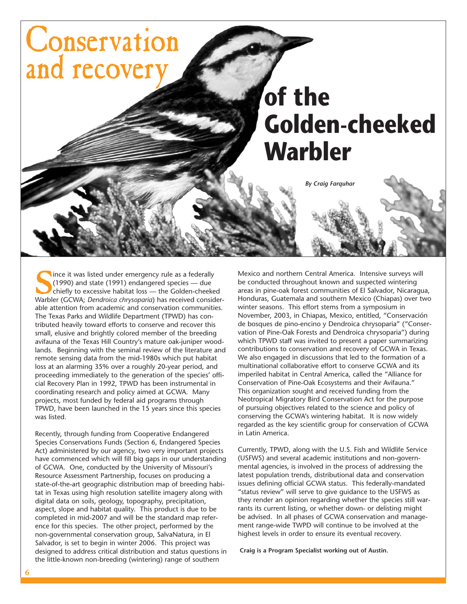

ince it was listed under emergency rule as a federally (1990) and state (1991) endangered species — due chiefly to excessive habitat loss — the Golden-cheeked Warbler (GCWA; *Dendroica chrysoparia*) has received considerable attention from academic and conservation communities. The Texas Parks and Wildlife Department (TPWD) has contributed heavily toward efforts to conserve and recover this small, elusive and brightly colored member of the breeding avifauna of the Texas Hill Country's mature oak-juniper woodlands. Beginning with the seminal review of the literature and remote sensing data from the mid-1980s which put habitat loss at an alarming 35% over a roughly 20-year period, and proceeding immediately to the generation of the species' official Recovery Plan in 1992, TPWD has been instrumental in coordinating research and policy aimed at GCWA. Many projects, most funded by federal aid programs through TPWD, have been launched in the 15 years since this species was listed.

Recently, through funding from Cooperative Endangered Species Conservations Funds (Section 6, Endangered Species Act) administered by our agency, two very important projects have commenced which will fill big gaps in our understanding of GCWA. One, conducted by the University of Missouri's Resource Assessment Partnership, focuses on producing a state-of-the-art geographic distribution map of breeding habitat in Texas using high resolution satellite imagery along with digital data on soils, geology, topography, precipitation, aspect, slope and habitat quality. This product is due to be completed in mid-2007 and will be the standard map reference for this species. The other project, performed by the non-governmental conservation group, SalvaNatura, in El Salvador, is set to begin in winter 2006. This project was designed to address critical distribution and status questions in the little-known non-breeding (wintering) range of southern

Mexico and northern Central America. Intensive surveys will be conducted throughout known and suspected wintering areas in pine-oak forest communities of El Salvador, Nicaragua, Honduras, Guatemala and southern Mexico (Chiapas) over two winter seasons. This effort stems from a symposium in November, 2003, in Chiapas, Mexico, entitled, "Conservación de bosques de pino-encino y Dendroica chrysoparia" ("Conservation of Pine-Oak Forests and Dendroica chrysoparia") during which TPWD staff was invited to present a paper summarizing contributions to conservation and recovery of GCWA in Texas. We also engaged in discussions that led to the formation of a multinational collaborative effort to conserve GCWA and its imperiled habitat in Central America, called the "Alliance for Conservation of Pine-Oak Ecosystems and their Avifauna." This organization sought and received funding from the Neotropical Migratory Bird Conservation Act for the purpose of pursuing objectives related to the science and policy of conserving the GCWA's wintering habitat. It is now widely regarded as the key scientific group for conservation of GCWA in Latin America.

Currently, TPWD, along with the U.S. Fish and Wildlife Service (USFWS) and several academic institutions and non-governmental agencies, is involved in the process of addressing the latest population trends, distributional data and conservation issues defining official GCWA status. This federally-mandated "status review" will serve to give guidance to the USFWS as they render an opinion regarding whether the species still warrants its current listing, or whether down- or delisting might be advised. In all phases of GCWA conservation and management range-wide TWPD will continue to be involved at the highest levels in order to ensure its eventual recovery.

**Craig is a Program Specialist working out of Austin.**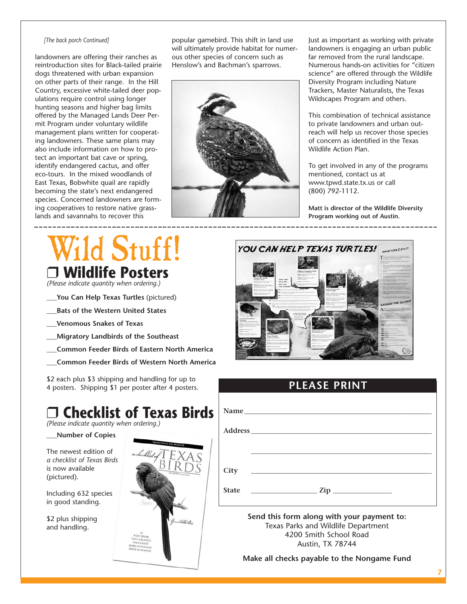#### *[The back porch Continued]*

landowners are offering their ranches as reintroduction sites for Black-tailed prairie dogs threatened with urban expansion on other parts of their range. In the Hill Country, excessive white-tailed deer populations require control using longer hunting seasons and higher bag limits offered by the Managed Lands Deer Permit Program under voluntary wildlife management plans written for cooperating landowners. These same plans may also include information on how to protect an important bat cave or spring, identify endangered cactus, and offer eco-tours. In the mixed woodlands of East Texas, Bobwhite quail are rapidly becoming the state's next endangered species. Concerned landowners are forming cooperatives to restore native grasslands and savannahs to recover this

popular gamebird. This shift in land use will ultimately provide habitat for numerous other species of concern such as Henslow's and Bachman's sparrows.



Just as important as working with private landowners is engaging an urban public far removed from the rural landscape. Numerous hands-on activities for "citizen science" are offered through the Wildlife Diversity Program including Nature Trackers, Master Naturalists, the Texas Wildscapes Program and others.

This combination of technical assistance to private landowners and urban outreach will help us recover those species of concern as identified in the Texas Wildlife Action Plan.

To get involved in any of the programs mentioned, contact us at www.tpwd.state.tx.us or call (800) 792-1112.

**Matt is director of the Wildlife Diversity Program working out of Austin.** 

## d Stuff! ❒ **Wildlife Posters**

*(Please indicate quantity when ordering.)*

- **\_\_\_You Can Help Texas Turtles** (pictured)
- **\_\_\_Bats of the Western United States**
- **\_\_\_Venomous Snakes of Texas**
- **\_\_\_Migratory Landbirds of the Southeast**
- **\_\_\_Common Feeder Birds of Eastern North America**
- **\_\_\_Common Feeder Birds of Western North America**

\$2 each plus \$3 shipping and handling for up to 4 posters. Shipping \$1 per poster after 4 posters.

## ❒ **Checklist of Texas Birds**

*(Please indicate quantity when ordering.)*

### **\_\_\_Number of Copies**

The newest edition of *a checklist of Texas Birds* is now available (pictured).

Including 632 species in good standing.

\$2 plus shipping and handling.





## **PLEASE PRINT**

|              | Name                                                                                                                                                                                                                                                                                                                                                                 |
|--------------|----------------------------------------------------------------------------------------------------------------------------------------------------------------------------------------------------------------------------------------------------------------------------------------------------------------------------------------------------------------------|
|              |                                                                                                                                                                                                                                                                                                                                                                      |
|              |                                                                                                                                                                                                                                                                                                                                                                      |
| City         | <u> 1989 - Andrea Stadt Britain, amerikansk politiker (</u>                                                                                                                                                                                                                                                                                                          |
| <b>State</b> | $\frac{1}{\sqrt{2}}$ $\frac{1}{\sqrt{2}}$ $\frac{1}{\sqrt{2}}$ $\frac{1}{\sqrt{2}}$ $\frac{1}{\sqrt{2}}$ $\frac{1}{\sqrt{2}}$ $\frac{1}{\sqrt{2}}$ $\frac{1}{\sqrt{2}}$ $\frac{1}{\sqrt{2}}$ $\frac{1}{\sqrt{2}}$ $\frac{1}{\sqrt{2}}$ $\frac{1}{\sqrt{2}}$ $\frac{1}{\sqrt{2}}$ $\frac{1}{\sqrt{2}}$ $\frac{1}{\sqrt{2}}$ $\frac{1}{\sqrt{2}}$ $\frac{1}{\sqrt{2}}$ |
|              | Send this form along with your payment to:<br>Texas Parks and Wildlife Department<br>4200 Smith School Road                                                                                                                                                                                                                                                          |

Austin, TX 78744

**Make all checks payable to the Nongame Fund**